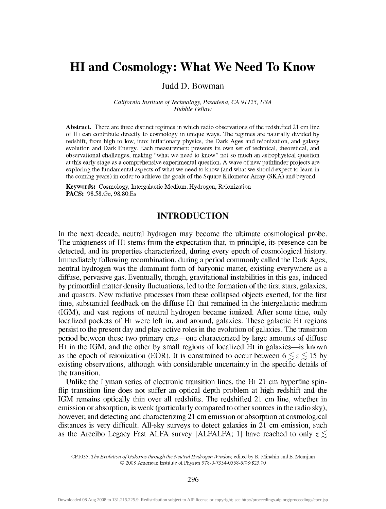# HI and Cosmology: What We Need To Know

Judd D. Bowman

*California Institute of Technology, Pasadena, CA 91125, USA Hubble Fellow* 

**Abstract.** There are three distinct regimes in which radio observations of the redshifted 21 cm line of HI can contribute directly to cosmology in unique ways. The regimes are naturally divided by redshift, from high to low, into: inflationary physics, the Dark Ages and reionization, and galaxy evolution and Dark Energy. Each measurement presents its own set of technical, theoretical, and observational challenges, making "what we need to know" not so much an astrophysical question at this early stage as a comprehensive experimental question. A wave of new pathfinder projects are exploring the fundamental aspects of what we need to know (and what we should expect to learn in the coming years) in order to achieve the goals of the Square Kilometer Array (SKA) and beyond.

**Keywords:** Cosmology, Intergalactic Medium, Hydrogen, Reionization **PACS:** 98.58.Ge, 98.80.Es

#### INTRODUCTION

In the next decade, neutral hydrogen may become the ultimate cosmological probe. The uniqueness of Hi stems from the expectation that, in principle, its presence can be detected, and its properties characterized, during every epoch of cosmological history. Immediately following recombination, during a period commonly called the Dark Ages, neutral hydrogen was the dominant form of baryonic matter, existing everywhere as a diffuse, pervasive gas. Eventually, though, gravitational instabilities in this gas, induced by primordial matter density fluctuations, led to the formation of the first stars, galaxies, and quasars. New radiative processes from these collapsed objects exerted, for the first time, substantial feedback on the diffuse Hi that remained in the intergalactic medium (IGM), and vast regions of neutral hydrogen became ionized. After some time, only localized pockets of Hi were left in, and around, galaxies. These galactic Hi regions persist to the present day and play active roles in the evolution of galaxies. The transition period between these two primary eras—one characterized by large amounts of diffuse HI in the IGM, and the other by small regions of localized Hi in galaxies—is known as the epoch of reionization (EOR). It is constrained to occur between  $6 \le z \le 15$  by existing observations, although with considerable uncertainty in the specific details of the transition.

Unlike the Lyman series of electronic transition lines, the Hi 21 cm hyperfine spinflip transition line does not suffer an optical depth problem at high redshift and the IGM remains optically thin over all redshifts. The redshifted 21 cm line, whether in emission or absorption, is weak (particularly compared to other sources in the radio sky), however, and detecting and characterizing 21 cm emission or absorption at cosmological distances is very difficult. All-sky surveys to detect galaxies in 21 cm emission, such as the Arecibo Legacy Fast ALFA survey [ALFALFA; 1] have reached to only *z <* 

CP1035, *The Evolution of Galaxies through the Neutral Hydrogen Window,* edited by R. Minchin andE. Momjian O 2008 American Institute of Physics 978-0-7354-0558-5/08/\$23.00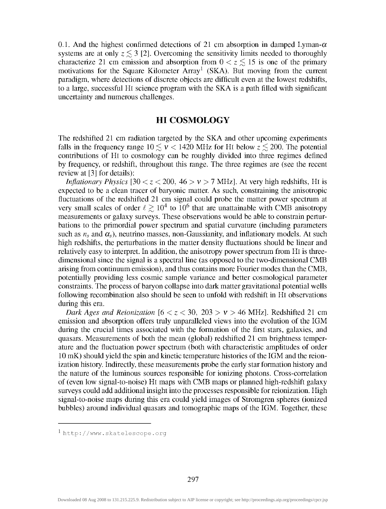0.1. And the highest confirmed detections of 21 cm absorption in damped Lyman- $\alpha$ systems are at only  $z \leq 3$  [2]. Overcoming the sensitivity limits needed to thoroughly characterize 21 cm emission and absorption from  $0 < z \le 15$  is one of the primary motivations for the Square Kilometer  $Array<sup>1</sup>$  (SKA). But moving from the current paradigm, where detections of discrete objects are difficult even at the lowest redshifts, to a large, successful Hi science program with the SKA is a path filled with significant uncertainty and numerous challenges.

### HI COSMOLOGY

The redshifted 21 cm radiation targeted by the SKA and other upcoming experiments falls in the frequency range  $10 \le v < 1420$  MHz for HI below  $z \le 200$ . The potential contributions of Hi to cosmology can be roughly divided into three regimes defined by frequency, or redshift, throughout this range. The three regimes are (see the recent review at [3] for details):

*Inflationary Physics* [30  $\lt z \lt 200$ , 46  $> v > 7$  MHz]. At very high redshifts, H<sub>I</sub> is expected to be a clean tracer of baryonic matter. As such, constraining the anisotropic fluctuations of the redshifted 21 cm signal could probe the matter power spectrum at very small scales of order  $\ell \geq 10^4$  to  $10^6$  that are unattainable with CMB anisotropy measurements or galaxy surveys. These observations would be able to constrain perturbations to the primordial power spectrum and spatial curvature (including parameters such as  $n_s$  and  $\alpha_s$ ), neutrino masses, non-Gaussianity, and inflationary models. At such high redshifts, the perturbations in the matter density fluctuations should be linear and relatively easy to interpret. In addition, the anisotropy power spectrum from Hi is threedimensional since the signal is a spectral line (as opposed to the two-dimensional CMB arising from continuum emission), and thus contains more Fourier modes than the CMB, potentially providing less cosmic sample variance and better cosmological parameter constraints. The process of baryon collapse into dark matter gravitational potential wells following recombination also should be seen to unfold with redshift in Hi observations during this era.

*Dark Ages and Reionization*  $[6 < z < 30, 203 > v > 46 \text{ MHz}]$ . Redshifted 21 cm emission and absorption offers truly unparalleled views into the evolution of the IGM during the crucial times associated with the formation of the first stars, galaxies, and quasars. Measurements of both the mean (global) redshifted 21 cm brightness temperature and the fluctuation power spectrum (both with characteristic amplitudes of order 10 mK) should yield the spin and kinetic temperature histories of the IGM and the reionization history. Indirectly, these measurements probe the early star formation history and the nature of the luminous sources responsible for ionizing photons. Cross-correlation of (even low signal-to-noise) Hi maps with CMB maps or planned high-redshift galaxy surveys could add additional insight into the processes responsible for reionization. High signal-to-noise maps during this era could yield images of Stromgren spheres (ionized bubbles) around individual quasars and tomographic maps of the IGM. Together, these

<sup>1</sup>[http://www.skatelescope.or](http://www.skatelescope.org)g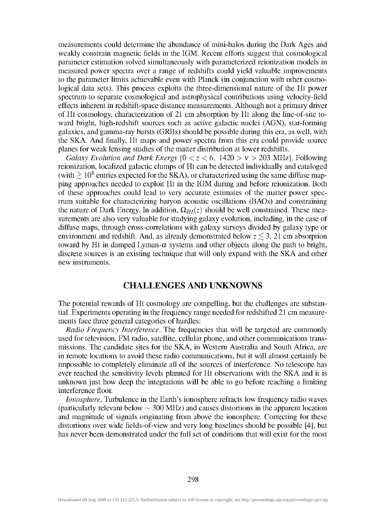measurements could determine the abundance of mini-halos during the Dark Ages and weakly constrain magnetic fields in the IGM. Recent efforts suggest that cosmological parameter estimation solved simultaneously with parameterized reionization models in measured power spectra over a range of redshifts could yield valuable improvements to the parameter limits achievable even with Planck (in conjunction with other cosmological data sets). This process exploits the three-dimensional nature of the Hi power spectrum to separate cosmological and astrophysical contributions using velocity-field effects inherent in redshift-space distance measurements. Although not a primary driver of HI cosmology, characterization of 21 cm absorption by Hi along the line-of-site toward bright, high-redshift sources such as active galactic nuclei (AGN), star-forming galaxies, and gamma-ray bursts (GRBs) should be possible during this era, as well, with the SKA. And finally. Hi maps and power spectra from this era could provide source planes for weak lensing studies of the matter distribution at lower redshifts.

*Galaxy Evolution and Dark Energy*  $[0 < z < 6, 1420 > v > 203$  MHz]. Following reionization, localized galactic clumps of Hi can be detected individually and cataloged (with  $\gtrsim 10^8$  entries expected for the SKA), or characterized using the same diffuse mapping approaches needed to exploit Hi in the IGM during and before reionization. Both of these approaches could lead to very accurate estimates of the matter power spectrum suitable for characterizing baryon acoustic oscillations (BAOs) and constraining the nature of Dark Energy. In addition,  $\Omega_{HI}(z)$  should be well constrained. These measurements are also very valuable for studying galaxy evolution, including, in the case of diffuse maps, through cross-correlations with galaxy surveys divided by galaxy type or environment and redshift. And, as already demonstrated below  $z \lesssim 3$ , 21 cm absorption toward by HI in damped Lyman- $\alpha$  systems and other objects along the path to bright, discrete sources is an existing technique that will only expand with the SKA and other new instruments.

#### CHALLENGES AND UNKNOWNS

The potential rewards of Hi cosmology are compelling, but the challenges are substantial. Experiments operating in the frequency range needed for redshifted 21 cm measurements face three general categories of hurdles:

*Radio Frequency Interference.* The frequencies that will be targeted are commonly used for television, EM radio, satellite, cellular phone, and other communications transmissions. The candidate sites for the SKA, in Western Australia and South Africa, are in remote locations to avoid these radio communications, but it will almost certainly be impossible to completely eliminate all of the sources of interference. No telescope has ever reached the sensitivity levels planned for Hi observations with the SKA and it is unknown just how deep the integrations will be able to go before reaching a limiting interference floor.

*Ionosphere.* Turbulence in the Earth's ionosphere refracts low frequency radio waves (particularly relevant below *^* 300 MHz) and causes distortions in the apparent location and magnitude of signals originating from above the ionosphere. Correcting for these distortions over wide fields-of-view and very long baselines should be possible [4], but has never been demonstrated under the full set of conditions that will exist for the most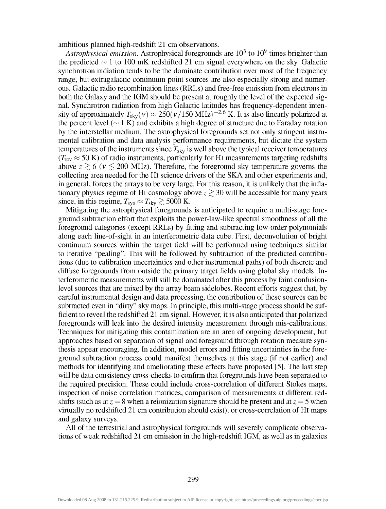ambitious planned high-redshift 21 cm observations.

*Astrophysical emission.* Astrophysical foregrounds are  $10^3$  to  $10^9$  times brighter than the predicted  $\sim$  1 to 100 mK redshifted 21 cm signal everywhere on the sky. Galactic synchrotron radiation tends to be the dominate contribution over most of the frequency range, but extragalactic continuum point sources are also especially strong and numerous. Galactic radio recombination lines (RRLs) and free-free emission from electrons in both the Galaxy and the IGM should be present at roughly the level of the expected signal. Synchrotron radiation from high Galactic latitudes has frequency-dependent intensity of approximately  $T_{\text{skv}}(v) \approx 250 (v/150 \text{ MHz})^{-2.6} \text{ K}$ . It is also linearly polarized at the percent level ( $\sim$  1 K) and exhibits a high degree of structure due to Faraday rotation by the interstellar medium. The astrophysical foregrounds set not only stringent instrumental calibration and data analysis performance requirements, but dictate the system temperatures of the instruments since  $T_{sky}$  is well above the typical receiver temperatures  $(T_{\text{rcv}} \approx 50 \text{ K})$  of radio instruments, particularly for HI measurements targeting redshifts above  $z \gtrsim 6$  ( $v \lesssim 200$  MHz). Therefore, the foreground sky temperature governs the collecting area needed for the Hi science drivers of the SKA and other experiments and, in general, forces the arrays to be very large. For this reason, it is unlikely that the inflationary physics regime of HI cosmology above  $z \gtrsim 30$  will be accessible for many years since, in this regime,  $T_{sys} \approx T_{sky} \gtrsim 5000$  K.

Mitigating the astrophysical foregrounds is anticipated to require a multi-stage foreground subtraction effort that exploits the power-law-like spectral smoothness of all the foreground categories (except RRLs) by fitting and subtracting low-order polynomials along each line-of-sight in an interferometric data cube. First, deconvolution of bright continuum sources within the target field will be performed using techniques similar to iterative "pealing". This will be followed by subtraction of the predicted contributions (due to calibration uncertainties and other instrumental paths) of both discrete and diffuse foregrounds from outside the primary target fields using global sky models. Interferometric measurements will still be dominated after this process by faint confusionlevel sources that are mixed by the array beam sidelobes. Recent efforts suggest that, by careful instrumental design and data processing, the contribution of these sources can be subtracted even in "dirty" sky maps. In principle, this multi-stage process should be sufficient to reveal the redshifted 21 cm signal. However, it is also anticipated that polarized foregrounds will leak into the desired intensity measurement through mis-calibrations. Techniques for mitigating this contamination are an area of ongoing development, but approaches based on separation of signal and foreground through rotation measure synthesis appear encouraging. In addition, model errors and fitting uncertainties in the foreground subtraction process could manifest themselves at this stage (if not earlier) and methods for identifying and ameliorating these effects have proposed [5]. The last step will be data consistency cross-checks to confirm that foregrounds have been separated to the required precision. These could include cross-correlation of different Stokes maps, inspection of noise correlation matrices, comparison of measurements at different redshifts (such as at  $z = 8$  when a reionization signature should be present and at  $z = 5$  when virtually no redshifted 21 cm contribution should exist), or cross-correlation of Hi maps and galaxy surveys.

All of the terrestrial and astrophysical foregrounds will severely complicate observations of weak redshifted 21 cm emission in the high-redshift IGM, as well as in galaxies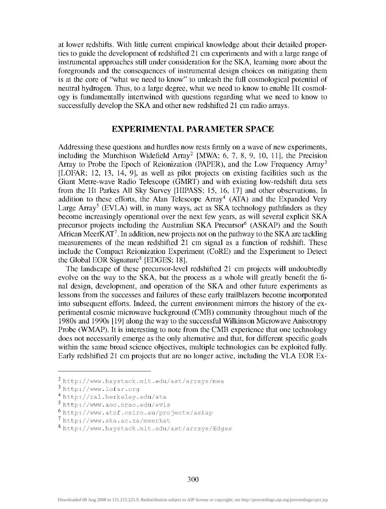at lower redshifts. With little current empirical knowledge about their detailed properties to guide the development of redshifted 21 cm experiments and with a large range of instramental approaches still under consideration for the SKA, learning more about the foregrounds and the consequences of instrumental design choices on mitigating them is at the core of "what we need to know" to unleash the full cosmological potential of neutral hydrogen. Thus, to a large degree, what we need to know to enable Hi cosmology is fundamentally intertwined with questions regarding what we need to know to successfully develop the SKA and other new redshifted 21 cm radio arrays.

#### EXPERIMENTAL PARAMETER SPACE

Addressing these questions and hurdles now rests firmly on a wave of new experiments, including the Murchison Widefield Array<sup>2</sup> [MWA; 6, 7, 8, 9, 10, 11], the Precision Array to Probe the Epoch of Reionization (PAPER), and the Low Frequency Array<sup>3</sup> [LOFAR; 12, 13, 14, 9], as well as pilot projects on existing facilities such as the Giant Metre-wave Radio Telescope (GMRT) and with existing low-redshift data sets from the Hi Parkes All Sky Survey [HIPASS; 15, 16, 17] and other observations. In addition to these efforts, the Alan Telescope Array'\* (ATA) and the Expanded Very Large Array<sup>5</sup> (EVLA) will, in many ways, act as SKA technology pathfinders as they become increasingly operational over the next few years, as will several explicit SKA precursor projects including the Australian SKA Precursor<sup>6</sup> (ASKAP) and the South African MeerKAT<sup>7</sup>. In addition, new projects not on the pathway to the SKA are tackling measurements of the mean redshifted 21 cm signal as a function of redshift. These include the Compact Reionization Experiment (CoRE) and the Experiment to Detect the Global EOR Signature<sup>8</sup> [EDGES; 18].

The landscape of these precursor-level redshifted 21 cm projects will undoubtedly evolve on the way to the SKA, but the process as a whole will greatly benefit the final design, development, and operation of the SKA and other future experiments as lessons from the successes and failures of these early trailblazers become incorporated into subsequent efforts. Indeed, the current environment mirrors the history of the experimental cosmic microwave background (CMB) community throughout much of the 1980s and 1990s [19] along the way to the successful Wilkinson Microwave Anisotropy Probe (WMAP). It is interesting to note from the CMB experience that one technology does not necessarily emerge as the only alternative and that, for different specific goals within the same broad science objectives, multiple technologies can be exploited fully. Early redshifted 21 cm projects that are no longer active, including the VLA EOR Ex-

<sup>2</sup> http //[www.haystack.mit.edu/ast/arrays/mwa](http://www.haystack.mit.edu/ast/arrays/mwa) 

<sup>^</sup> http //[www.lofar.org](http://www.lofar.org) 

<sup>••</sup> http //ral.berkeley.edu/ata

<sup>^</sup> http //[www.aoc.nrao.edu/evla](http://www.aoc.nrao.edu/evla) 

<sup>6</sup> http //[www.atnf.csiro.au/projects/askap](http://www.atnf.csiro.au/projects/askap) 

<sup>^</sup> http //[www.ska.ac.za/meerkat](http://www.ska.ac.za/meerkat) 

<sup>^</sup> http //[www.haystack.mit.edu/ast/arrays/Edges](http://www.haystack.mit.edu/ast/arrays/Edges)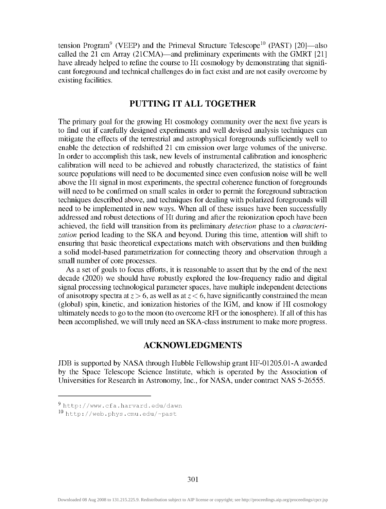tension Program<sup>9</sup> (VEEP) and the Primeval Structure Telescope<sup>10</sup> (PAST) [20]—also called the 21 cm Array (21CMA)—and preliminary experiments with the GMRT [21] have already helped to refine the course to Hi cosmology by demonstrating that significant foreground and technical challenges do in fact exist and are not easily overcome by existing facilities.

## PUTTING IT ALL TOGETHER

The primary goal for the growing Hi cosmology community over the next five years is to find out if carefully designed experiments and well devised analysis techniques can mitigate the effects of the terrestrial and astrophysical foregrounds sufficiently well to enable the detection of redshifted 21 cm emission over large volumes of the universe. In order to accomplish this task, new levels of instrumental calibration and ionospheric calibration will need to be achieved and robustly characterized, the statistics of faint source populations will need to be documented since even confusion noise will be well above the Hi signal in most experiments, the spectral coherence function of foregrounds will need to be confirmed on small scales in order to permit the foreground subtraction techniques described above, and techniques for dealing with polarized foregrounds will need to be implemented in new ways. When all of these issues have been successfully addressed and robust detections of Hi during and after the reionization epoch have been achieved, the field will transition from its preliminary *detection* phase to a *characterization* period leading to the SKA and beyond. During this time, attention will shift to ensuring that basic theoretical expectations match with observations and then building a solid model-based parametrization for connecting theory and observation through a small number of core processes.

As a set of goals to focus efforts, it is reasonable to assert that by the end of the next decade (2020) we should have robustly explored the low-frequency radio and digital signal processing technological parameter spaces, have multiple independent detections of anisotropy spectra at  $z > 6$ , as well as at  $z < 6$ , have significantly constrained the mean (global) spin, kinetic, and ionization histories of the IGM, and know if HI cosmology ultimately needs to go to the moon (to overcome RFI or the ionosphere). If all of this has been accomplished, we will truly need an SKA-class instrument to make more progress.

#### ACKNOWLEDGMENTS

JDB is supported by NASA through Hubble Fellowship grant HF-01205.01-A awarded by the Space Telescope Science Institute, which is operated by the Association of Universities for Research in Astronomy, Inc., for NASA, under contract NAS 5-26555.

<http://www.cfa.harvard.edu/dawn>

<sup>10</sup> http://web.phys.cmu.edu/~past